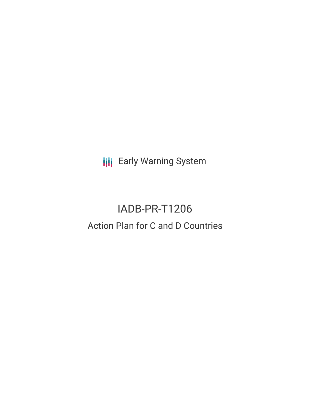**III** Early Warning System

# IADB-PR-T1206 Action Plan for C and D Countries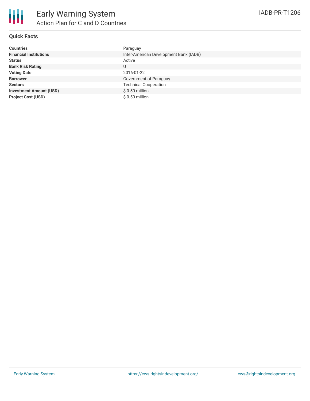| <b>Countries</b>               | Paraguay                               |
|--------------------------------|----------------------------------------|
| <b>Financial Institutions</b>  | Inter-American Development Bank (IADB) |
| <b>Status</b>                  | Active                                 |
| <b>Bank Risk Rating</b>        | U                                      |
| <b>Voting Date</b>             | 2016-01-22                             |
| <b>Borrower</b>                | Government of Paraguay                 |
| <b>Sectors</b>                 | <b>Technical Cooperation</b>           |
| <b>Investment Amount (USD)</b> | $$0.50$ million                        |
| <b>Project Cost (USD)</b>      | $$0.50$ million                        |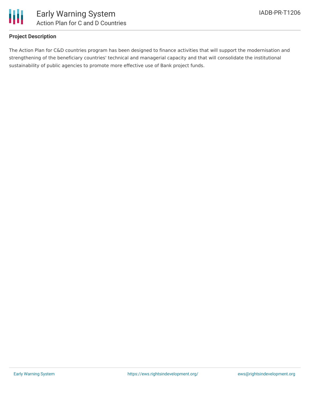

# **Project Description**

The Action Plan for C&D countries program has been designed to finance activities that will support the modernisation and strengthening of the beneficiary countries' technical and managerial capacity and that will consolidate the institutional sustainability of public agencies to promote more effective use of Bank project funds.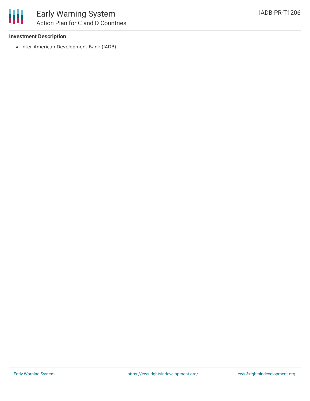

### **Investment Description**

• Inter-American Development Bank (IADB)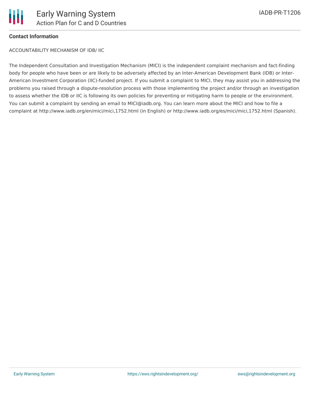

## **Contact Information**

ACCOUNTABILITY MECHANISM OF IDB/ IIC

The Independent Consultation and Investigation Mechanism (MICI) is the independent complaint mechanism and fact-finding body for people who have been or are likely to be adversely affected by an Inter-American Development Bank (IDB) or Inter-American Investment Corporation (IIC)-funded project. If you submit a complaint to MICI, they may assist you in addressing the problems you raised through a dispute-resolution process with those implementing the project and/or through an investigation to assess whether the IDB or IIC is following its own policies for preventing or mitigating harm to people or the environment. You can submit a complaint by sending an email to MICI@iadb.org. You can learn more about the MICI and how to file a complaint at http://www.iadb.org/en/mici/mici,1752.html (in English) or http://www.iadb.org/es/mici/mici,1752.html (Spanish).